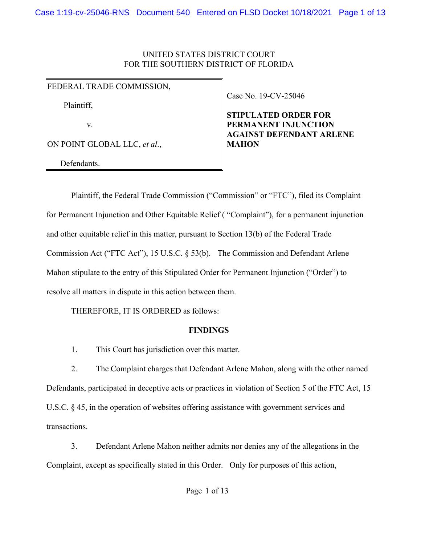## UNITED STATES DISTRICT COURT FOR THE SOUTHERN DISTRICT OF FLORIDA

FEDERAL TRADE COMMISSION,

Plaintiff,

v.

ON POINT GLOBAL LLC, *et al*.,

Defendants.

Case No. 19-CV-25046

**STIPULATED ORDER FOR PERMANENT INJUNCTION AGAINST DEFENDANT ARLENE MAHON**

Plaintiff, the Federal Trade Commission ("Commission" or "FTC"), filed its Complaint for Permanent Injunction and Other Equitable Relief ( "Complaint"), for a permanent injunction and other equitable relief in this matter, pursuant to Section 13(b) of the Federal Trade Commission Act ("FTC Act"), 15 U.S.C. § 53(b). The Commission and Defendant Arlene Mahon stipulate to the entry of this Stipulated Order for Permanent Injunction ("Order") to resolve all matters in dispute in this action between them.

THEREFORE, IT IS ORDERED as follows:

## **FINDINGS**

1. This Court has jurisdiction over this matter.

2. The Complaint charges that Defendant Arlene Mahon, along with the other named Defendants, participated in deceptive acts or practices in violation of Section 5 of the FTC Act, 15 U.S.C. § 45, in the operation of websites offering assistance with government services and transactions.

3. Defendant Arlene Mahon neither admits nor denies any of the allegations in the Complaint, except as specifically stated in this Order. Only for purposes of this action,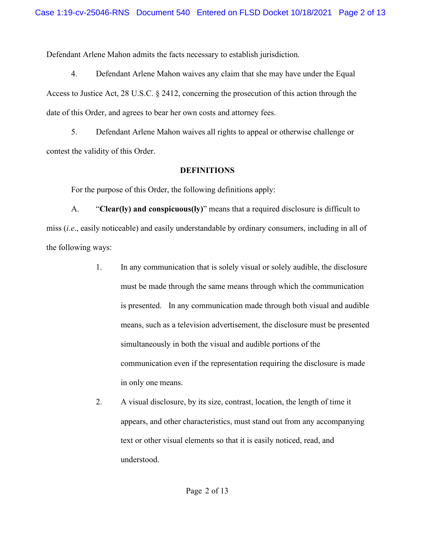Defendant Arlene Mahon admits the facts necessary to establish jurisdiction.

4. Defendant Arlene Mahon waives any claim that she may have under the Equal Access to Justice Act, 28 U.S.C. § 2412, concerning the prosecution of this action through the date of this Order, and agrees to bear her own costs and attorney fees.

5. Defendant Arlene Mahon waives all rights to appeal or otherwise challenge or contest the validity of this Order.

### **DEFINITIONS**

For the purpose of this Order, the following definitions apply:

A. "**Clear(ly) and conspicuous(ly)**" means that a required disclosure is difficult to miss (*i.e*., easily noticeable) and easily understandable by ordinary consumers, including in all of the following ways:

- 1. In any communication that is solely visual or solely audible, the disclosure must be made through the same means through which the communication is presented. In any communication made through both visual and audible means, such as a television advertisement, the disclosure must be presented simultaneously in both the visual and audible portions of the communication even if the representation requiring the disclosure is made in only one means.
- 2. A visual disclosure, by its size, contrast, location, the length of time it appears, and other characteristics, must stand out from any accompanying text or other visual elements so that it is easily noticed, read, and understood.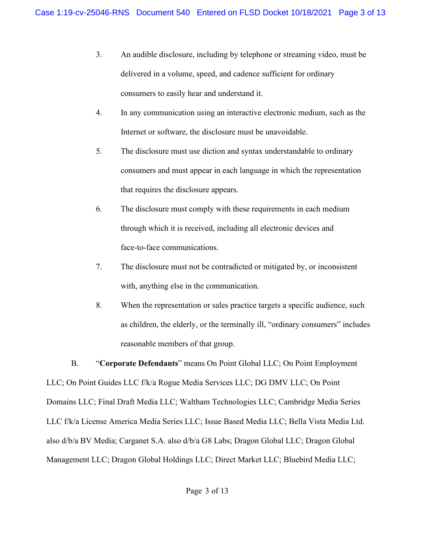- 3. An audible disclosure, including by telephone or streaming video, must be delivered in a volume, speed, and cadence sufficient for ordinary consumers to easily hear and understand it.
- 4. In any communication using an interactive electronic medium, such as the Internet or software, the disclosure must be unavoidable.
- 5. The disclosure must use diction and syntax understandable to ordinary consumers and must appear in each language in which the representation that requires the disclosure appears.
- 6. The disclosure must comply with these requirements in each medium through which it is received, including all electronic devices and face-to-face communications.
- 7. The disclosure must not be contradicted or mitigated by, or inconsistent with, anything else in the communication.
- 8. When the representation or sales practice targets a specific audience, such as children, the elderly, or the terminally ill, "ordinary consumers" includes reasonable members of that group.

B. "**Corporate Defendants**" means On Point Global LLC; On Point Employment LLC; On Point Guides LLC f/k/a Rogue Media Services LLC; DG DMV LLC; On Point Domains LLC; Final Draft Media LLC; Waltham Technologies LLC; Cambridge Media Series LLC f/k/a License America Media Series LLC; Issue Based Media LLC; Bella Vista Media Ltd. also d/b/a BV Media; Carganet S.A. also d/b/a G8 Labs; Dragon Global LLC; Dragon Global Management LLC; Dragon Global Holdings LLC; Direct Market LLC; Bluebird Media LLC;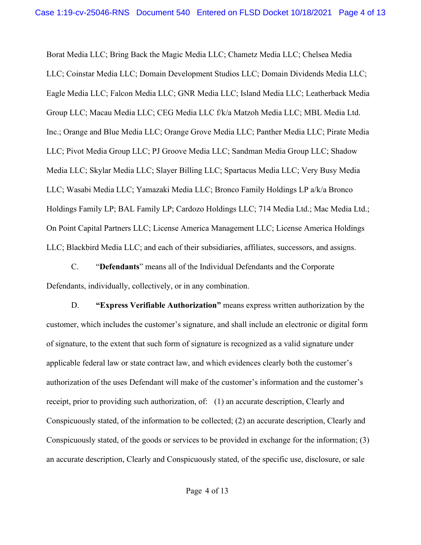Borat Media LLC; Bring Back the Magic Media LLC; Chametz Media LLC; Chelsea Media LLC; Coinstar Media LLC; Domain Development Studios LLC; Domain Dividends Media LLC; Eagle Media LLC; Falcon Media LLC; GNR Media LLC; Island Media LLC; Leatherback Media Group LLC; Macau Media LLC; CEG Media LLC f/k/a Matzoh Media LLC; MBL Media Ltd. Inc.; Orange and Blue Media LLC; Orange Grove Media LLC; Panther Media LLC; Pirate Media LLC; Pivot Media Group LLC; PJ Groove Media LLC; Sandman Media Group LLC; Shadow Media LLC; Skylar Media LLC; Slayer Billing LLC; Spartacus Media LLC; Very Busy Media LLC; Wasabi Media LLC; Yamazaki Media LLC; Bronco Family Holdings LP a/k/a Bronco Holdings Family LP; BAL Family LP; Cardozo Holdings LLC; 714 Media Ltd.; Mac Media Ltd.; On Point Capital Partners LLC; License America Management LLC; License America Holdings LLC; Blackbird Media LLC; and each of their subsidiaries, affiliates, successors, and assigns.

C. "**Defendants**" means all of the Individual Defendants and the Corporate Defendants, individually, collectively, or in any combination.

D. **"Express Verifiable Authorization"** means express written authorization by the customer, which includes the customer's signature, and shall include an electronic or digital form of signature, to the extent that such form of signature is recognized as a valid signature under applicable federal law or state contract law, and which evidences clearly both the customer's authorization of the uses Defendant will make of the customer's information and the customer's receipt, prior to providing such authorization, of: (1) an accurate description, Clearly and Conspicuously stated, of the information to be collected; (2) an accurate description, Clearly and Conspicuously stated, of the goods or services to be provided in exchange for the information; (3) an accurate description, Clearly and Conspicuously stated, of the specific use, disclosure, or sale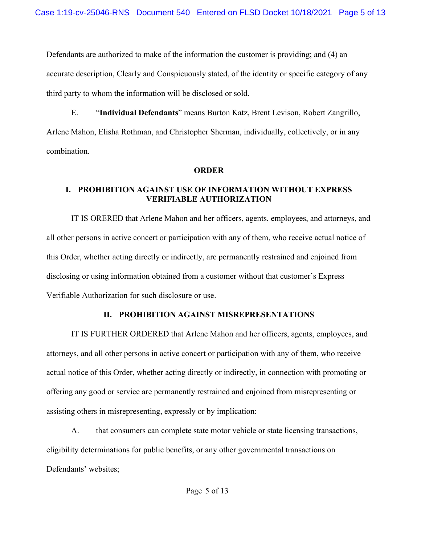Defendants are authorized to make of the information the customer is providing; and (4) an accurate description, Clearly and Conspicuously stated, of the identity or specific category of any third party to whom the information will be disclosed or sold.

E. "**Individual Defendants**" means Burton Katz, Brent Levison, Robert Zangrillo, Arlene Mahon, Elisha Rothman, and Christopher Sherman, individually, collectively, or in any combination.

## **ORDER**

# **I. PROHIBITION AGAINST USE OF INFORMATION WITHOUT EXPRESS VERIFIABLE AUTHORIZATION**

IT IS ORERED that Arlene Mahon and her officers, agents, employees, and attorneys, and all other persons in active concert or participation with any of them, who receive actual notice of this Order, whether acting directly or indirectly, are permanently restrained and enjoined from disclosing or using information obtained from a customer without that customer's Express Verifiable Authorization for such disclosure or use.

# **II. PROHIBITION AGAINST MISREPRESENTATIONS**

IT IS FURTHER ORDERED that Arlene Mahon and her officers, agents, employees, and attorneys, and all other persons in active concert or participation with any of them, who receive actual notice of this Order, whether acting directly or indirectly, in connection with promoting or offering any good or service are permanently restrained and enjoined from misrepresenting or assisting others in misrepresenting, expressly or by implication:

A. that consumers can complete state motor vehicle or state licensing transactions, eligibility determinations for public benefits, or any other governmental transactions on Defendants' websites;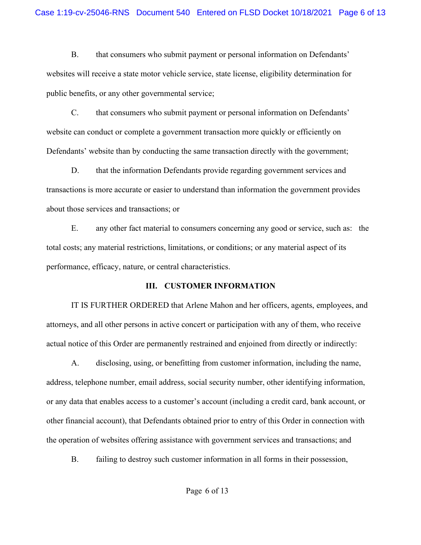B. that consumers who submit payment or personal information on Defendants' websites will receive a state motor vehicle service, state license, eligibility determination for public benefits, or any other governmental service;

C. that consumers who submit payment or personal information on Defendants' website can conduct or complete a government transaction more quickly or efficiently on Defendants' website than by conducting the same transaction directly with the government;

D. that the information Defendants provide regarding government services and transactions is more accurate or easier to understand than information the government provides about those services and transactions; or

E. any other fact material to consumers concerning any good or service, such as: the total costs; any material restrictions, limitations, or conditions; or any material aspect of its performance, efficacy, nature, or central characteristics.

### **III. CUSTOMER INFORMATION**

IT IS FURTHER ORDERED that Arlene Mahon and her officers, agents, employees, and attorneys, and all other persons in active concert or participation with any of them, who receive actual notice of this Order are permanently restrained and enjoined from directly or indirectly:

A. disclosing, using, or benefitting from customer information, including the name, address, telephone number, email address, social security number, other identifying information, or any data that enables access to a customer's account (including a credit card, bank account, or other financial account), that Defendants obtained prior to entry of this Order in connection with the operation of websites offering assistance with government services and transactions; and

B. failing to destroy such customer information in all forms in their possession,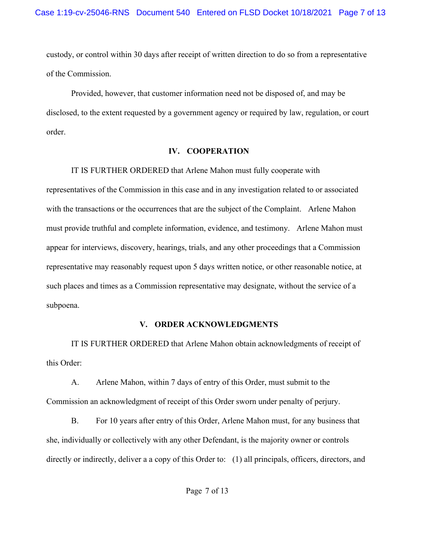custody, or control within 30 days after receipt of written direction to do so from a representative of the Commission.

Provided, however, that customer information need not be disposed of, and may be disclosed, to the extent requested by a government agency or required by law, regulation, or court order.

### **IV. COOPERATION**

# IT IS FURTHER ORDERED that Arlene Mahon must fully cooperate with

representatives of the Commission in this case and in any investigation related to or associated with the transactions or the occurrences that are the subject of the Complaint. Arlene Mahon must provide truthful and complete information, evidence, and testimony. Arlene Mahon must appear for interviews, discovery, hearings, trials, and any other proceedings that a Commission representative may reasonably request upon 5 days written notice, or other reasonable notice, at such places and times as a Commission representative may designate, without the service of a subpoena.

### **V. ORDER ACKNOWLEDGMENTS**

IT IS FURTHER ORDERED that Arlene Mahon obtain acknowledgments of receipt of this Order:

A. Arlene Mahon, within 7 days of entry of this Order, must submit to the Commission an acknowledgment of receipt of this Order sworn under penalty of perjury.

B. For 10 years after entry of this Order, Arlene Mahon must, for any business that she, individually or collectively with any other Defendant, is the majority owner or controls directly or indirectly, deliver a a copy of this Order to: (1) all principals, officers, directors, and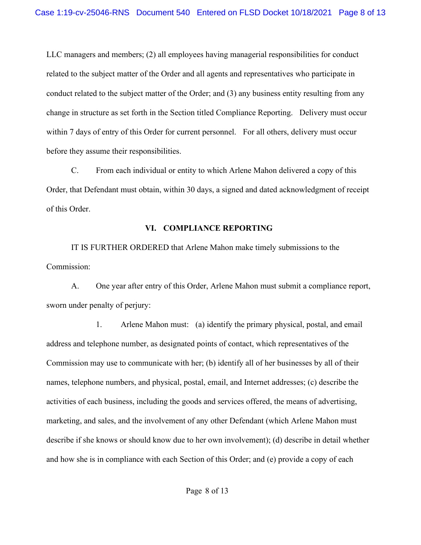LLC managers and members; (2) all employees having managerial responsibilities for conduct related to the subject matter of the Order and all agents and representatives who participate in conduct related to the subject matter of the Order; and (3) any business entity resulting from any change in structure as set forth in the Section titled Compliance Reporting. Delivery must occur within 7 days of entry of this Order for current personnel. For all others, delivery must occur before they assume their responsibilities.

C. From each individual or entity to which Arlene Mahon delivered a copy of this Order, that Defendant must obtain, within 30 days, a signed and dated acknowledgment of receipt of this Order.

### **VI. COMPLIANCE REPORTING**

IT IS FURTHER ORDERED that Arlene Mahon make timely submissions to the Commission:

A. One year after entry of this Order, Arlene Mahon must submit a compliance report, sworn under penalty of perjury:

1. Arlene Mahon must: (a) identify the primary physical, postal, and email address and telephone number, as designated points of contact, which representatives of the Commission may use to communicate with her; (b) identify all of her businesses by all of their names, telephone numbers, and physical, postal, email, and Internet addresses; (c) describe the activities of each business, including the goods and services offered, the means of advertising, marketing, and sales, and the involvement of any other Defendant (which Arlene Mahon must describe if she knows or should know due to her own involvement); (d) describe in detail whether and how she is in compliance with each Section of this Order; and (e) provide a copy of each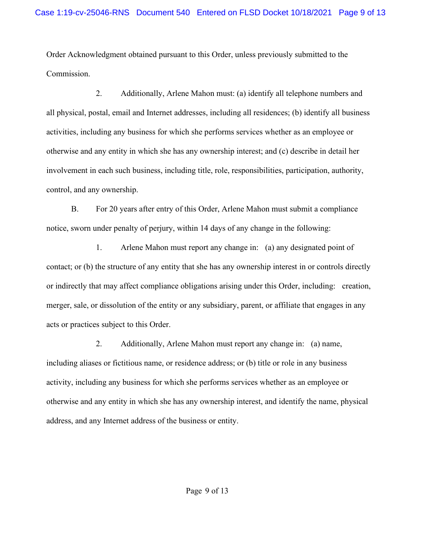Order Acknowledgment obtained pursuant to this Order, unless previously submitted to the Commission.

2. Additionally, Arlene Mahon must: (a) identify all telephone numbers and all physical, postal, email and Internet addresses, including all residences; (b) identify all business activities, including any business for which she performs services whether as an employee or otherwise and any entity in which she has any ownership interest; and (c) describe in detail her involvement in each such business, including title, role, responsibilities, participation, authority, control, and any ownership.

B. For 20 years after entry of this Order, Arlene Mahon must submit a compliance notice, sworn under penalty of perjury, within 14 days of any change in the following:

1. Arlene Mahon must report any change in: (a) any designated point of contact; or (b) the structure of any entity that she has any ownership interest in or controls directly or indirectly that may affect compliance obligations arising under this Order, including: creation, merger, sale, or dissolution of the entity or any subsidiary, parent, or affiliate that engages in any acts or practices subject to this Order.

2. Additionally, Arlene Mahon must report any change in: (a) name, including aliases or fictitious name, or residence address; or (b) title or role in any business activity, including any business for which she performs services whether as an employee or otherwise and any entity in which she has any ownership interest, and identify the name, physical address, and any Internet address of the business or entity.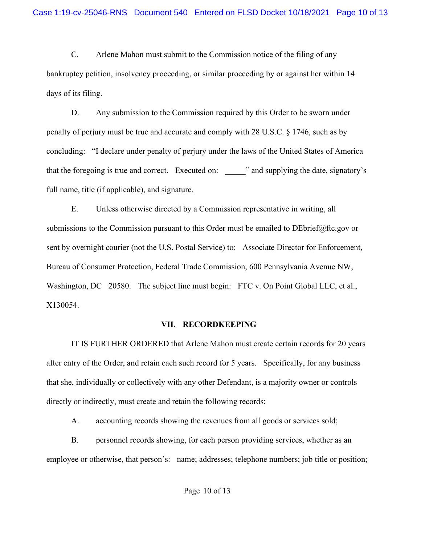C. Arlene Mahon must submit to the Commission notice of the filing of any bankruptcy petition, insolvency proceeding, or similar proceeding by or against her within 14 days of its filing.

D. Any submission to the Commission required by this Order to be sworn under penalty of perjury must be true and accurate and comply with 28 U.S.C. § 1746, such as by concluding: "I declare under penalty of perjury under the laws of the United States of America that the foregoing is true and correct. Executed on: " and supplying the date, signatory's full name, title (if applicable), and signature.

E. Unless otherwise directed by a Commission representative in writing, all submissions to the Commission pursuant to this Order must be emailed to DEbrief@ftc.gov or sent by overnight courier (not the U.S. Postal Service) to: Associate Director for Enforcement, Bureau of Consumer Protection, Federal Trade Commission, 600 Pennsylvania Avenue NW, Washington, DC 20580. The subject line must begin: FTC v. On Point Global LLC, et al., X130054.

#### **VII. RECORDKEEPING**

IT IS FURTHER ORDERED that Arlene Mahon must create certain records for 20 years after entry of the Order, and retain each such record for 5 years. Specifically, for any business that she, individually or collectively with any other Defendant, is a majority owner or controls directly or indirectly, must create and retain the following records:

A. accounting records showing the revenues from all goods or services sold;

B. personnel records showing, for each person providing services, whether as an employee or otherwise, that person's: name; addresses; telephone numbers; job title or position;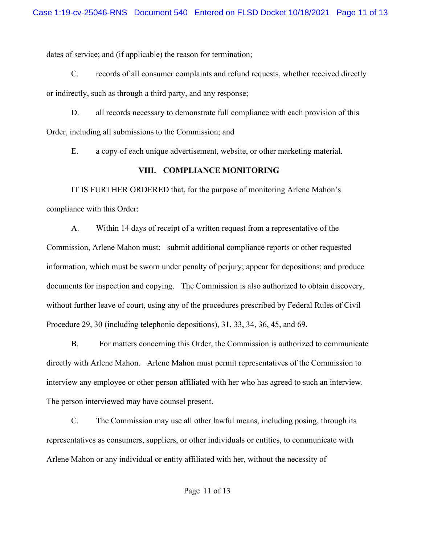dates of service; and (if applicable) the reason for termination;

C. records of all consumer complaints and refund requests, whether received directly or indirectly, such as through a third party, and any response;

D. all records necessary to demonstrate full compliance with each provision of this Order, including all submissions to the Commission; and

E. a copy of each unique advertisement, website, or other marketing material.

# **VIII. COMPLIANCE MONITORING**

IT IS FURTHER ORDERED that, for the purpose of monitoring Arlene Mahon's compliance with this Order:

A. Within 14 days of receipt of a written request from a representative of the Commission, Arlene Mahon must: submit additional compliance reports or other requested information, which must be sworn under penalty of perjury; appear for depositions; and produce documents for inspection and copying. The Commission is also authorized to obtain discovery, without further leave of court, using any of the procedures prescribed by Federal Rules of Civil Procedure 29, 30 (including telephonic depositions), 31, 33, 34, 36, 45, and 69.

B. For matters concerning this Order, the Commission is authorized to communicate directly with Arlene Mahon. Arlene Mahon must permit representatives of the Commission to interview any employee or other person affiliated with her who has agreed to such an interview. The person interviewed may have counsel present.

C. The Commission may use all other lawful means, including posing, through its representatives as consumers, suppliers, or other individuals or entities, to communicate with Arlene Mahon or any individual or entity affiliated with her, without the necessity of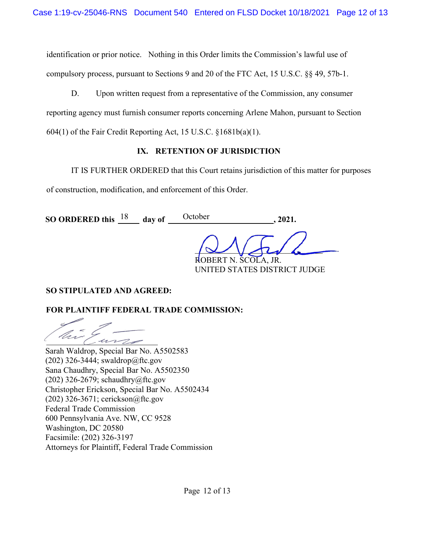identification or prior notice. Nothing in this Order limits the Commission's lawful use of compulsory process, pursuant to Sections 9 and 20 of the FTC Act, 15 U.S.C. §§ 49, 57b-1.

D. Upon written request from a representative of the Commission, any consumer reporting agency must furnish consumer reports concerning Arlene Mahon, pursuant to Section 604(1) of the Fair Credit Reporting Act, 15 U.S.C. §1681b(a)(1).

# **IX. RETENTION OF JURISDICTION**

IT IS FURTHER ORDERED that this Court retains jurisdiction of this matter for purposes of construction, modification, and enforcement of this Order.

**SO ORDERED this**  $\frac{18}{20}$  day of  $\frac{October}{18}$ , 2021.

 $\sim$   $\sim$   $\sim$ ROBERT N. SCOLA, JR.

# UNITED STATES DISTRICT JUDGE

# **SO STIPULATED AND AGREED:**

**FOR PLAINTIFF FEDERAL TRADE COMMISSION:**

 $\sim$ 

Sarah Waldrop, Special Bar No. A5502583 (202) 326-3444; swaldrop@ftc.gov Sana Chaudhry, Special Bar No. A5502350 (202) 326-2679; schaudhry@ftc.gov Christopher Erickson, Special Bar No. A5502434 (202) 326-3671; cerickson@ftc.gov Federal Trade Commission 600 Pennsylvania Ave. NW, CC 9528 Washington, DC 20580 Facsimile: (202) 326-3197 Attorneys for Plaintiff, Federal Trade Commission